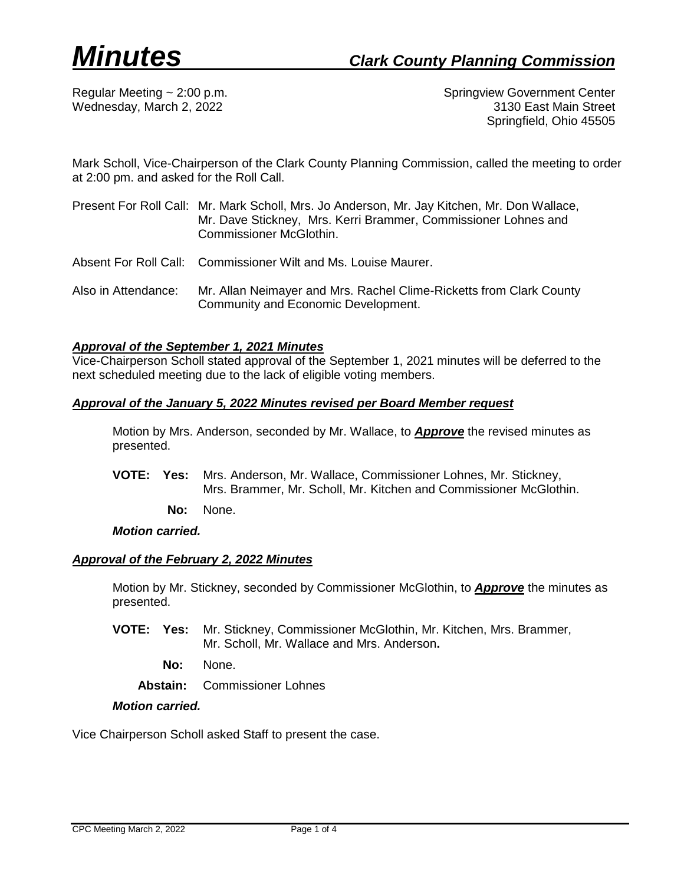Regular Meeting ~ 2:00 p.m. Springview Government Center Wednesday, March 2, 2022 **3130 East Main Street** Springfield, Ohio 45505

Mark Scholl, Vice-Chairperson of the Clark County Planning Commission, called the meeting to order at 2:00 pm. and asked for the Roll Call.

- Present For Roll Call: Mr. Mark Scholl, Mrs. Jo Anderson, Mr. Jay Kitchen, Mr. Don Wallace, Mr. Dave Stickney, Mrs. Kerri Brammer, Commissioner Lohnes and Commissioner McGlothin.
- Absent For Roll Call: Commissioner Wilt and Ms. Louise Maurer.
- Also in Attendance: Mr. Allan Neimayer and Mrs. Rachel Clime-Ricketts from Clark County Community and Economic Development.

## *Approval of the September 1, 2021 Minutes*

Vice-Chairperson Scholl stated approval of the September 1, 2021 minutes will be deferred to the next scheduled meeting due to the lack of eligible voting members.

#### *Approval of the January 5, 2022 Minutes revised per Board Member request*

Motion by Mrs. Anderson, seconded by Mr. Wallace, to *Approve* the revised minutes as presented.

- **VOTE: Yes:** Mrs. Anderson, Mr. Wallace, Commissioner Lohnes, Mr. Stickney, Mrs. Brammer, Mr. Scholl, Mr. Kitchen and Commissioner McGlothin.
	- **No:** None.

*Motion carried.*

#### *Approval of the February 2, 2022 Minutes*

Motion by Mr. Stickney, seconded by Commissioner McGlothin, to *Approve* the minutes as presented.

- **VOTE: Yes:** Mr. Stickney, Commissioner McGlothin, Mr. Kitchen, Mrs. Brammer, Mr. Scholl, Mr. Wallace and Mrs. Anderson**.**
	- **No:** None.

**Abstain:** Commissioner Lohnes

### *Motion carried.*

Vice Chairperson Scholl asked Staff to present the case.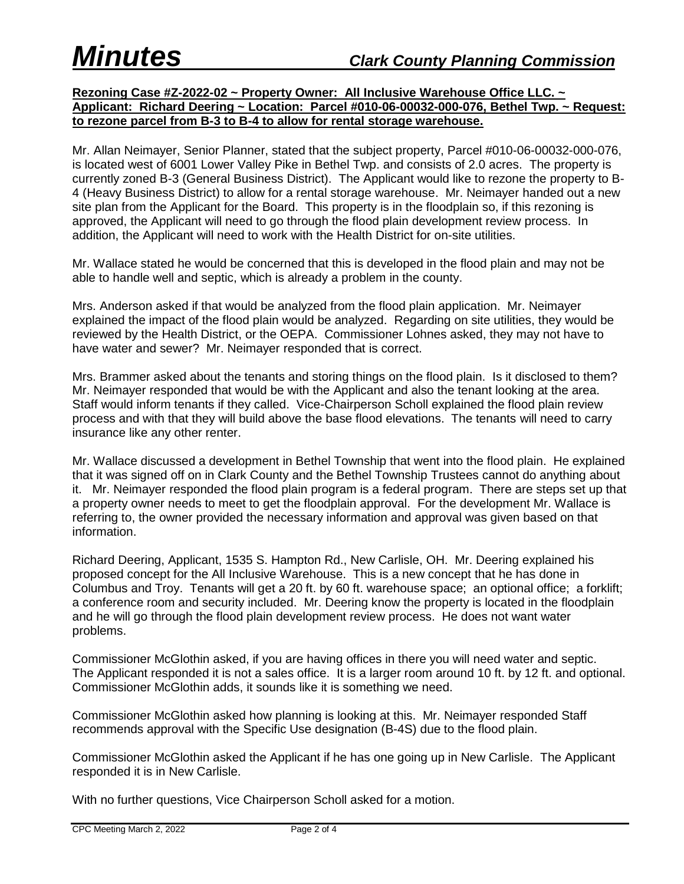## **Rezoning Case #Z-2022-02 ~ Property Owner: All Inclusive Warehouse Office LLC. ~ Applicant: Richard Deering ~ Location: Parcel #010-06-00032-000-076, Bethel Twp. ~ Request: to rezone parcel from B-3 to B-4 to allow for rental storage warehouse.**

Mr. Allan Neimayer, Senior Planner, stated that the subject property, Parcel #010-06-00032-000-076, is located west of 6001 Lower Valley Pike in Bethel Twp. and consists of 2.0 acres. The property is currently zoned B-3 (General Business District). The Applicant would like to rezone the property to B-4 (Heavy Business District) to allow for a rental storage warehouse. Mr. Neimayer handed out a new site plan from the Applicant for the Board. This property is in the floodplain so, if this rezoning is approved, the Applicant will need to go through the flood plain development review process. In addition, the Applicant will need to work with the Health District for on-site utilities.

Mr. Wallace stated he would be concerned that this is developed in the flood plain and may not be able to handle well and septic, which is already a problem in the county.

Mrs. Anderson asked if that would be analyzed from the flood plain application. Mr. Neimayer explained the impact of the flood plain would be analyzed. Regarding on site utilities, they would be reviewed by the Health District, or the OEPA. Commissioner Lohnes asked, they may not have to have water and sewer? Mr. Neimayer responded that is correct.

Mrs. Brammer asked about the tenants and storing things on the flood plain. Is it disclosed to them? Mr. Neimayer responded that would be with the Applicant and also the tenant looking at the area. Staff would inform tenants if they called. Vice-Chairperson Scholl explained the flood plain review process and with that they will build above the base flood elevations. The tenants will need to carry insurance like any other renter.

Mr. Wallace discussed a development in Bethel Township that went into the flood plain. He explained that it was signed off on in Clark County and the Bethel Township Trustees cannot do anything about it. Mr. Neimayer responded the flood plain program is a federal program. There are steps set up that a property owner needs to meet to get the floodplain approval. For the development Mr. Wallace is referring to, the owner provided the necessary information and approval was given based on that information.

Richard Deering, Applicant, 1535 S. Hampton Rd., New Carlisle, OH. Mr. Deering explained his proposed concept for the All Inclusive Warehouse. This is a new concept that he has done in Columbus and Troy. Tenants will get a 20 ft. by 60 ft. warehouse space; an optional office; a forklift; a conference room and security included. Mr. Deering know the property is located in the floodplain and he will go through the flood plain development review process. He does not want water problems.

Commissioner McGlothin asked, if you are having offices in there you will need water and septic. The Applicant responded it is not a sales office. It is a larger room around 10 ft. by 12 ft. and optional. Commissioner McGlothin adds, it sounds like it is something we need.

Commissioner McGlothin asked how planning is looking at this. Mr. Neimayer responded Staff recommends approval with the Specific Use designation (B-4S) due to the flood plain.

Commissioner McGlothin asked the Applicant if he has one going up in New Carlisle. The Applicant responded it is in New Carlisle.

With no further questions, Vice Chairperson Scholl asked for a motion.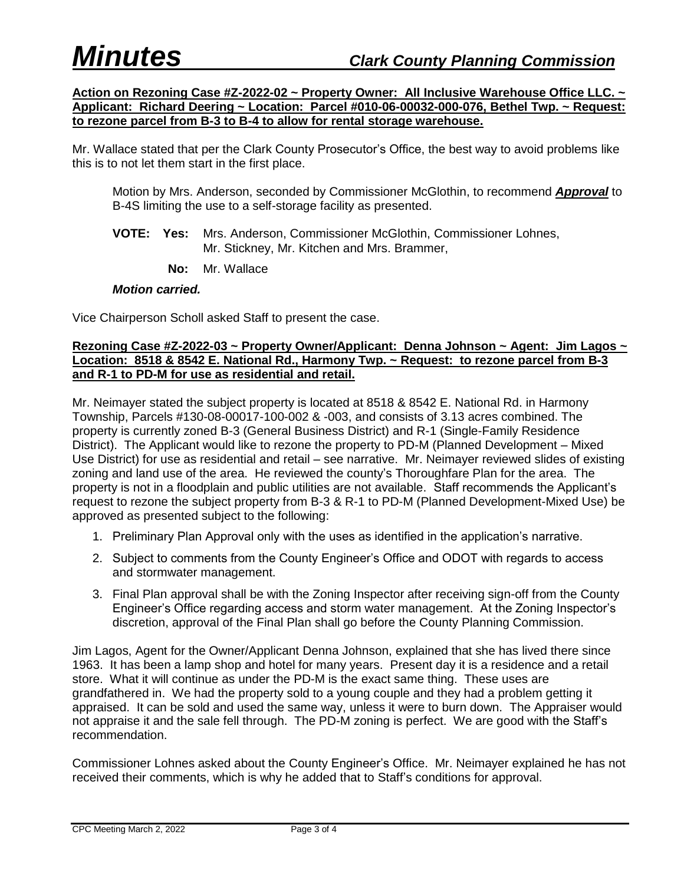**Action on Rezoning Case #Z-2022-02 ~ Property Owner: All Inclusive Warehouse Office LLC. ~ Applicant: Richard Deering ~ Location: Parcel #010-06-00032-000-076, Bethel Twp. ~ Request: to rezone parcel from B-3 to B-4 to allow for rental storage warehouse.**

Mr. Wallace stated that per the Clark County Prosecutor's Office, the best way to avoid problems like this is to not let them start in the first place.

Motion by Mrs. Anderson, seconded by Commissioner McGlothin, to recommend *Approval* to B-4S limiting the use to a self-storage facility as presented.

- **VOTE: Yes:** Mrs. Anderson, Commissioner McGlothin, Commissioner Lohnes, Mr. Stickney, Mr. Kitchen and Mrs. Brammer,
	- **No:** Mr. Wallace

#### *Motion carried.*

Vice Chairperson Scholl asked Staff to present the case.

## **Rezoning Case #Z-2022-03 ~ Property Owner/Applicant: Denna Johnson ~ Agent: Jim Lagos ~ Location: 8518 & 8542 E. National Rd., Harmony Twp. ~ Request: to rezone parcel from B-3 and R-1 to PD-M for use as residential and retail.**

Mr. Neimayer stated the subject property is located at 8518 & 8542 E. National Rd. in Harmony Township, Parcels #130-08-00017-100-002 & -003, and consists of 3.13 acres combined. The property is currently zoned B-3 (General Business District) and R-1 (Single-Family Residence District). The Applicant would like to rezone the property to PD-M (Planned Development – Mixed Use District) for use as residential and retail – see narrative. Mr. Neimayer reviewed slides of existing zoning and land use of the area. He reviewed the county's Thoroughfare Plan for the area. The property is not in a floodplain and public utilities are not available. Staff recommends the Applicant's request to rezone the subject property from B-3 & R-1 to PD-M (Planned Development-Mixed Use) be approved as presented subject to the following:

- 1. Preliminary Plan Approval only with the uses as identified in the application's narrative.
- 2. Subject to comments from the County Engineer's Office and ODOT with regards to access and stormwater management.
- 3. Final Plan approval shall be with the Zoning Inspector after receiving sign-off from the County Engineer's Office regarding access and storm water management. At the Zoning Inspector's discretion, approval of the Final Plan shall go before the County Planning Commission.

Jim Lagos, Agent for the Owner/Applicant Denna Johnson, explained that she has lived there since 1963. It has been a lamp shop and hotel for many years. Present day it is a residence and a retail store. What it will continue as under the PD-M is the exact same thing. These uses are grandfathered in. We had the property sold to a young couple and they had a problem getting it appraised. It can be sold and used the same way, unless it were to burn down. The Appraiser would not appraise it and the sale fell through. The PD-M zoning is perfect. We are good with the Staff's recommendation.

Commissioner Lohnes asked about the County Engineer's Office. Mr. Neimayer explained he has not received their comments, which is why he added that to Staff's conditions for approval.